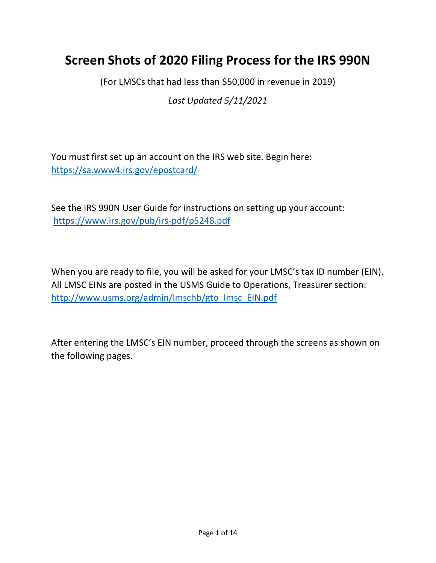# **Screen Shots of 2020 Filing Process for the IRS 990N**

(For LMSCs that had less than \$50,000 in revenue in 2019)

*Last Updated 5/11/2021*

You must first set up an account on the IRS web site. Begin here: <https://sa.www4.irs.gov/epostcard/>

See the IRS 990N User Guide for instructions on setting up your account: <https://www.irs.gov/pub/irs-pdf/p5248.pdf>

When you are ready to file, you will be asked for your LMSC's tax ID number (EIN). All LMSC EINs are posted in the USMS Guide to Operations, Treasurer section: [http://www.usms.org/admin/lmschb/gto\\_lmsc\\_EIN.pdf](http://www.usms.org/admin/lmschb/gto_lmsc_EIN.pdf)

After entering the LMSC's EIN number, proceed through the screens as shown on the following pages.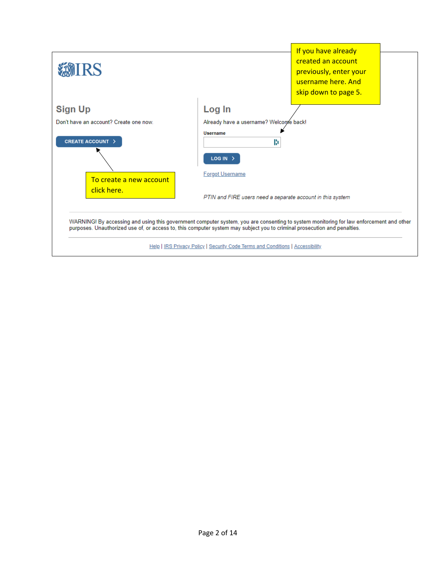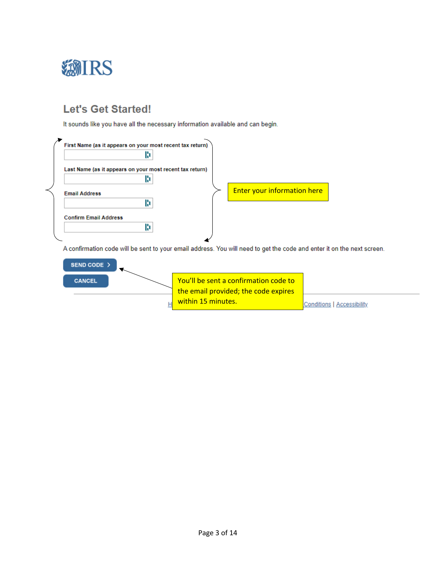

## **Let's Get Started!**

It sounds like you have all the necessary information available and can begin.



A confirmation code will be sent to your email address. You will need to get the code and enter it on the next screen.

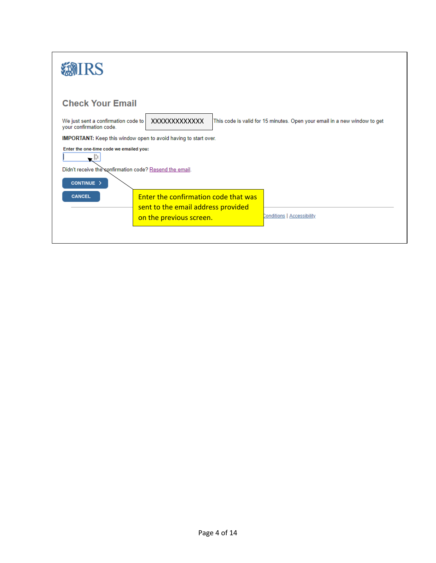| IRS                                                            |                                                                                           |
|----------------------------------------------------------------|-------------------------------------------------------------------------------------------|
| <b>Check Your Email</b>                                        |                                                                                           |
| We just sent a confirmation code to<br>your confirmation code. | This code is valid for 15 minutes. Open your email in a new window to get<br>XXXXXXXXXXXX |
|                                                                | <b>IMPORTANT:</b> Keep this window open to avoid having to start over.                    |
| Enter the one-time code we emailed you:<br>ا ا -               |                                                                                           |
| Didn't receive the confirmation code? Resend the email.        |                                                                                           |
| CONTINUE >                                                     |                                                                                           |
| <b>CANCEL</b>                                                  | Enter the confirmation code that was                                                      |
|                                                                | sent to the email address provided                                                        |
|                                                                | Conditions   Accessibility<br>on the previous screen.                                     |
|                                                                |                                                                                           |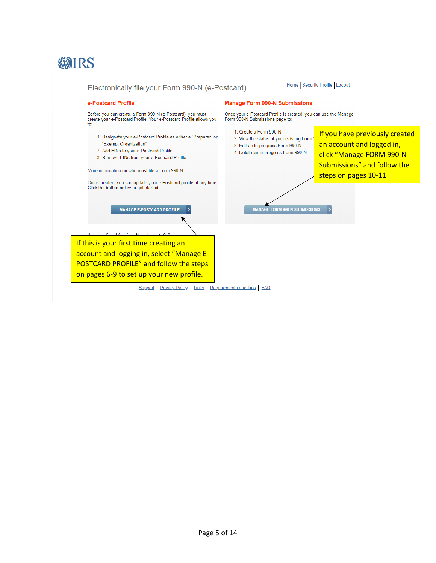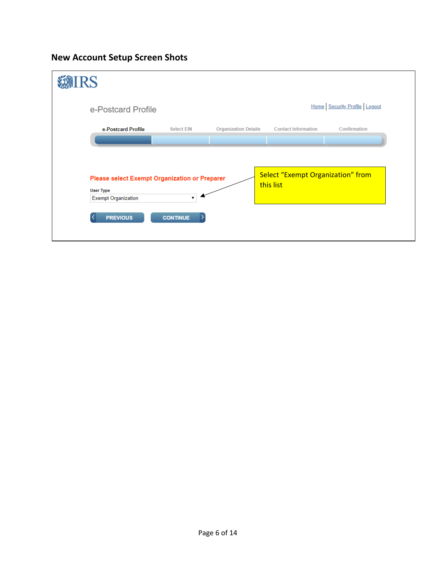**New Account Setup Screen Shots**

| IRS              |                                                                                                |                   |                             |                                                |                              |
|------------------|------------------------------------------------------------------------------------------------|-------------------|-----------------------------|------------------------------------------------|------------------------------|
|                  | e-Postcard Profile                                                                             |                   |                             |                                                | Home Security Profile Logout |
|                  | e-Postcard Profile                                                                             | <b>Select EIN</b> | <b>Organization Details</b> | <b>Contact Information</b>                     | Confirmation                 |
| <b>User Type</b> | Please select Exempt Organization or Preparer<br><b>Exempt Organization</b><br><b>PREVIOUS</b> | <b>CONTINUE</b>   |                             | Select "Exempt Organization" from<br>this list |                              |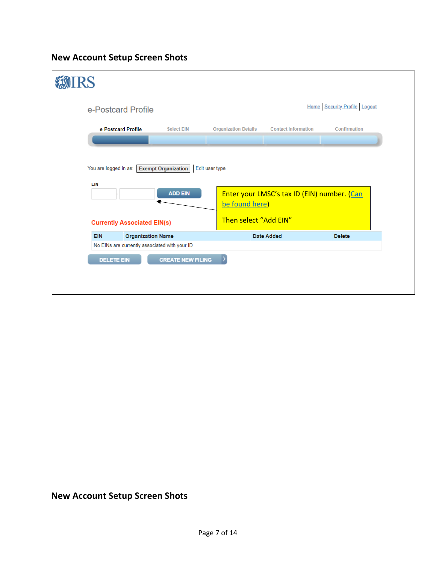### **New Account Setup Screen Shots**

| <b>RS</b>                                                                               |                          |                                  |                                             |                              |
|-----------------------------------------------------------------------------------------|--------------------------|----------------------------------|---------------------------------------------|------------------------------|
| e-Postcard Profile                                                                      |                          |                                  |                                             | Home Security Profile Logout |
| e-Postcard Profile                                                                      | <b>Select EIN</b>        | <b>Organization Details</b>      | <b>Contact Information</b>                  | Confirmation                 |
| You are logged in as: Exempt Organization<br><b>EIN</b>                                 | <b>ADD EIN</b>           | Edit user type<br>be found here) | Enter your LMSC's tax ID (EIN) number. (Can |                              |
| <b>Currently Associated EIN(s)</b>                                                      |                          | Then select "Add EIN"            |                                             |                              |
| <b>Organization Name</b><br><b>EIN</b><br>No EINs are currently associated with your ID |                          |                                  | <b>Date Added</b>                           | <b>Delete</b>                |
| <b>DELETE EIN</b>                                                                       | <b>CREATE NEW FILING</b> |                                  |                                             |                              |

### **New Account Setup Screen Shots**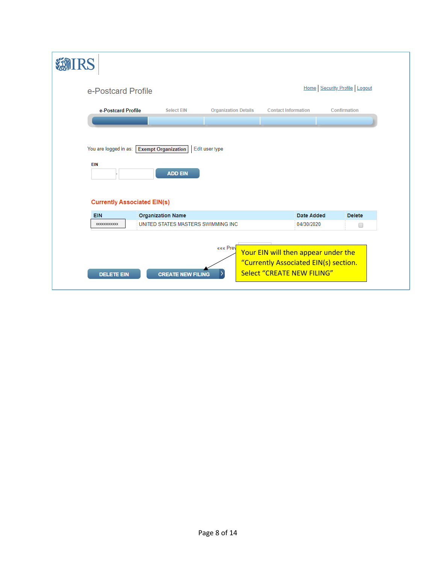| e-Postcard Profile                                                        |                                              |                             |                                                                                                            | Home Security Profile Logout |  |
|---------------------------------------------------------------------------|----------------------------------------------|-----------------------------|------------------------------------------------------------------------------------------------------------|------------------------------|--|
| e-Postcard Profile                                                        | <b>Select EIN</b>                            | <b>Organization Details</b> | <b>Contact Information</b>                                                                                 | Confirmation                 |  |
| You are logged in as:<br><b>EIN</b><br><b>Currently Associated EIN(s)</b> | <b>Exempt Organization</b><br><b>ADD EIN</b> | Edit user type              |                                                                                                            |                              |  |
| <b>EIN</b>                                                                | <b>Organization Name</b>                     |                             | Date Added                                                                                                 | <b>Delete</b>                |  |
| XXXXXXXXXXXX                                                              | UNITED STATES MASTERS SWIMMING INC           |                             | 04/30/2020                                                                                                 | ∩                            |  |
| <b>DELETE EIN</b>                                                         | <b>CREATE NEW FILING</b>                     | ««« Prev                    | Your EIN will then appear under the<br>"Currently Associated EIN(s) section.<br>Select "CREATE NEW FILING" |                              |  |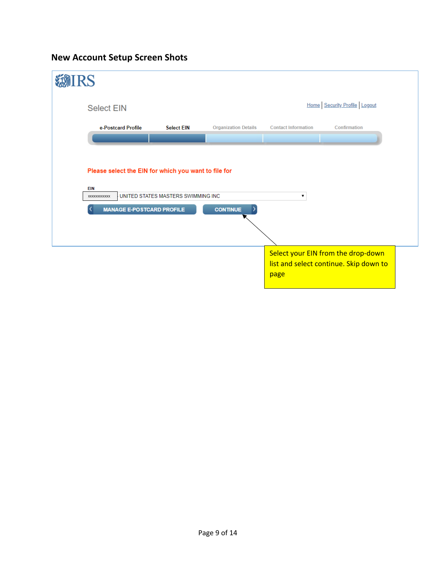### **New Account Setup Screen Shots**

| <b>IRS</b>                                                         |                                    |                             |                            |                                    |
|--------------------------------------------------------------------|------------------------------------|-----------------------------|----------------------------|------------------------------------|
| <b>Select EIN</b>                                                  |                                    |                             |                            | Home Security Profile Logout       |
| e-Postcard Profile                                                 | <b>Select EIN</b>                  | <b>Organization Details</b> | <b>Contact Information</b> | Confirmation                       |
|                                                                    |                                    |                             |                            |                                    |
| Please select the EIN for which you want to file for<br><b>EIN</b> |                                    |                             |                            |                                    |
| XXXXXXXXXXXX<br><b>MANAGE E-POSTCARD PROFILE</b><br>ᄾ              | UNITED STATES MASTERS SWIMMING INC | <b>CONTINUE</b>             |                            |                                    |
|                                                                    |                                    |                             |                            |                                    |
|                                                                    |                                    |                             |                            | Select your EIN from the drop-down |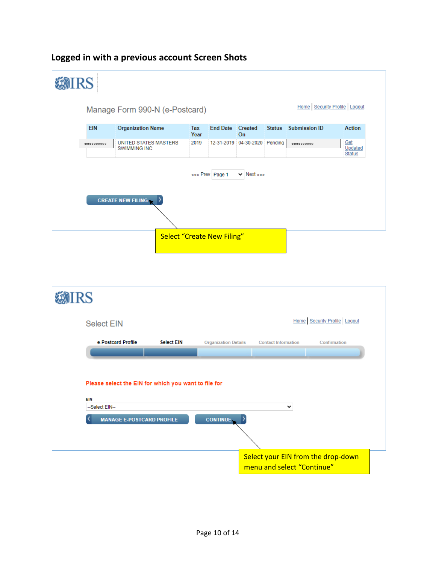#### *SMIRS* Home Security Profile Logout Manage Form 990-N (e-Postcard) EIN **Organization Name Submission ID Action** Tax **End Date** Created **Status** Year On XXXXXXXXXXXX XXXXXXXXXXXX Get Updated **Status** ««« Prev Page 1  $\vee$  Next » » **CREATE NEW FILING** D Select "Create New Filing"



| <b>Select EIN</b>                                    |                   |                             |                                    | Home Security Profile Logout |
|------------------------------------------------------|-------------------|-----------------------------|------------------------------------|------------------------------|
| e-Postcard Profile                                   | <b>Select EIN</b> | <b>Organization Details</b> | <b>Contact Information</b>         | Confirmation                 |
|                                                      |                   |                             |                                    |                              |
| Please select the EIN for which you want to file for |                   |                             |                                    |                              |
| EIN<br>--Select EIN--                                |                   |                             | $\checkmark$                       |                              |
| <b>MANAGE E-POSTCARD PROFILE</b>                     |                   | <b>CONTINUE</b>             |                                    |                              |
|                                                      |                   |                             |                                    |                              |
|                                                      |                   |                             | Select your EIN from the drop-down |                              |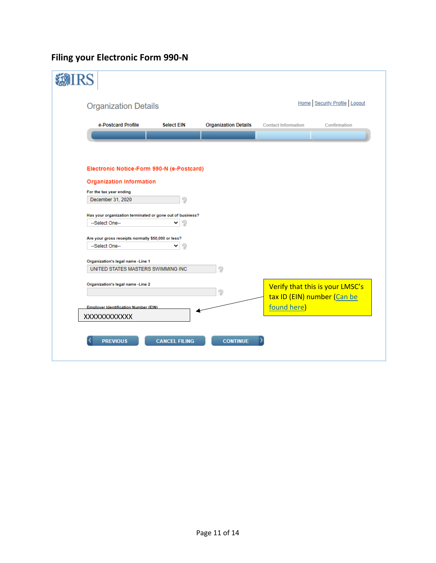# **Filing your Electronic Form 990-N**

| e-Postcard Profile                                         | <b>Select EIN</b> | <b>Organization Details</b> | <b>Contact Information</b>  | Confirmation                    |
|------------------------------------------------------------|-------------------|-----------------------------|-----------------------------|---------------------------------|
|                                                            |                   |                             |                             |                                 |
|                                                            |                   |                             |                             |                                 |
|                                                            |                   |                             |                             |                                 |
|                                                            |                   |                             |                             |                                 |
| Electronic Notice-Form 990-N (e-Postcard)                  |                   |                             |                             |                                 |
| <b>Organization Information</b>                            |                   |                             |                             |                                 |
| For the tax year ending                                    |                   |                             |                             |                                 |
| December 31, 2020                                          |                   |                             |                             |                                 |
|                                                            |                   |                             |                             |                                 |
| Has your organization terminated or gone out of business?  |                   |                             |                             |                                 |
| --Select One--                                             |                   |                             |                             |                                 |
|                                                            |                   |                             |                             |                                 |
| Are your gross receipts normally \$50,000 or less?         |                   |                             |                             |                                 |
|                                                            | 7<br>╰            |                             |                             |                                 |
|                                                            |                   |                             |                             |                                 |
| --Select One--                                             |                   |                             |                             |                                 |
|                                                            |                   |                             |                             |                                 |
| Organization's legal name - Line 1                         |                   |                             |                             |                                 |
| UNITED STATES MASTERS SWIMMING INC.                        |                   | 2                           |                             |                                 |
|                                                            |                   |                             |                             |                                 |
| Organization's legal name -Line 2                          |                   |                             |                             |                                 |
|                                                            |                   | 9                           |                             |                                 |
|                                                            |                   |                             | tax ID (EIN) number (Can be |                                 |
| <b>Employer Identification Number (EIN)</b><br>XXXXXXXXXXX |                   |                             | found here)                 | Verify that this is your LMSC's |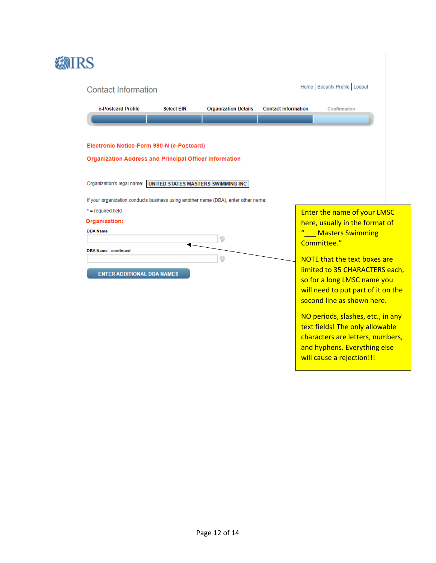| IRS                                                                                |                   |                             |                            |                                     |  |
|------------------------------------------------------------------------------------|-------------------|-----------------------------|----------------------------|-------------------------------------|--|
| <b>Contact Information</b>                                                         |                   |                             |                            | Home Security Profile Logout        |  |
| e-Postcard Profile                                                                 | <b>Select EIN</b> | <b>Organization Details</b> | <b>Contact Information</b> | Confirmation                        |  |
|                                                                                    |                   |                             |                            |                                     |  |
| Electronic Notice-Form 990-N (e-Postcard)                                          |                   |                             |                            |                                     |  |
| <b>Organization Address and Principal Officer Information</b>                      |                   |                             |                            |                                     |  |
|                                                                                    |                   |                             |                            |                                     |  |
| Organization's legal name: UNITED STATES MASTERS SWIMMING INC                      |                   |                             |                            |                                     |  |
| If your organization conducts business using another name (DBA), enter other name: |                   |                             |                            |                                     |  |
| $*$ = required field                                                               |                   |                             |                            | <b>Enter the name of your LMSC</b>  |  |
| Organization:                                                                      |                   |                             |                            | here, usually in the format of      |  |
| <b>DBA Name</b>                                                                    |                   |                             |                            | " Masters Swimming                  |  |
|                                                                                    |                   | ?                           |                            | Committee."                         |  |
| <b>DBA Name - continued</b>                                                        |                   | $\mathcal{D}$               |                            | <b>NOTE that the text boxes are</b> |  |
|                                                                                    |                   |                             |                            | limited to 35 CHARACTERS each,      |  |
| <b>ENTER ADDITIONAL DBA NAMES</b>                                                  |                   |                             |                            | so for a long LMSC name you         |  |
|                                                                                    |                   |                             |                            | will need to put part of it on the  |  |
|                                                                                    |                   |                             |                            | second line as shown here.          |  |
|                                                                                    |                   |                             |                            |                                     |  |
|                                                                                    |                   |                             |                            | NO periods, slashes, etc., in any   |  |
|                                                                                    |                   |                             |                            | text fields! The only allowable     |  |
|                                                                                    |                   |                             |                            | characters are letters, numbers,    |  |
|                                                                                    |                   |                             |                            | and hyphens. Everything else        |  |

will cause a rejection!!!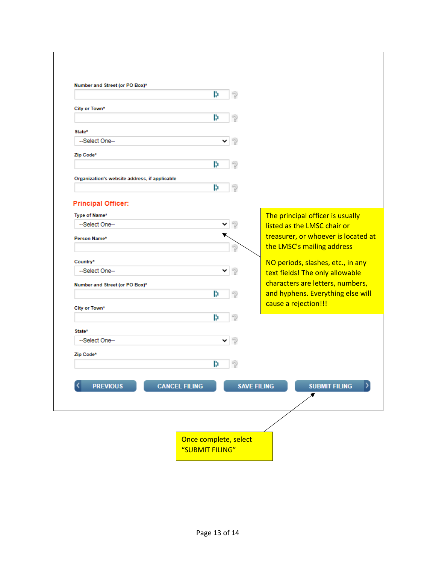|                                               | B.<br>? |                                                                      |
|-----------------------------------------------|---------|----------------------------------------------------------------------|
|                                               |         |                                                                      |
| City or Town*                                 | B.<br>2 |                                                                      |
| State*                                        |         |                                                                      |
| --Select One--                                | 2       |                                                                      |
| Zip Code*                                     |         |                                                                      |
|                                               | B.<br>2 |                                                                      |
| Organization's website address, if applicable |         |                                                                      |
|                                               | 2<br>B  |                                                                      |
|                                               |         |                                                                      |
| <b>Principal Officer:</b>                     |         |                                                                      |
| Type of Name*<br>--Select One--               | 2<br>v  | The principal officer is usually<br>listed as the LMSC chair or      |
| Person Name*                                  |         | treasurer, or whoever is located at                                  |
|                                               | ?       | the LMSC's mailing address                                           |
|                                               |         |                                                                      |
| Country*<br>--Select One--                    | 7<br>v  | NO periods, slashes, etc., in any<br>text fields! The only allowable |
| Number and Street (or PO Box)*                |         | characters are letters, numbers,                                     |
|                                               | B.<br>? | and hyphens. Everything else will                                    |
| City or Town*                                 |         | cause a rejection!!!                                                 |
|                                               | ?<br>B. |                                                                      |
| State*                                        |         |                                                                      |
| --Select One--                                |         |                                                                      |
| Zip Code*                                     |         |                                                                      |
|                                               | B<br>2  |                                                                      |
|                                               |         |                                                                      |
| <b>PREVIOUS</b><br><b>CANCEL FILING</b>       |         | <b>SAVE FILING</b><br><b>SUBMIT FILING</b>                           |
|                                               |         |                                                                      |
|                                               |         |                                                                      |
|                                               |         |                                                                      |